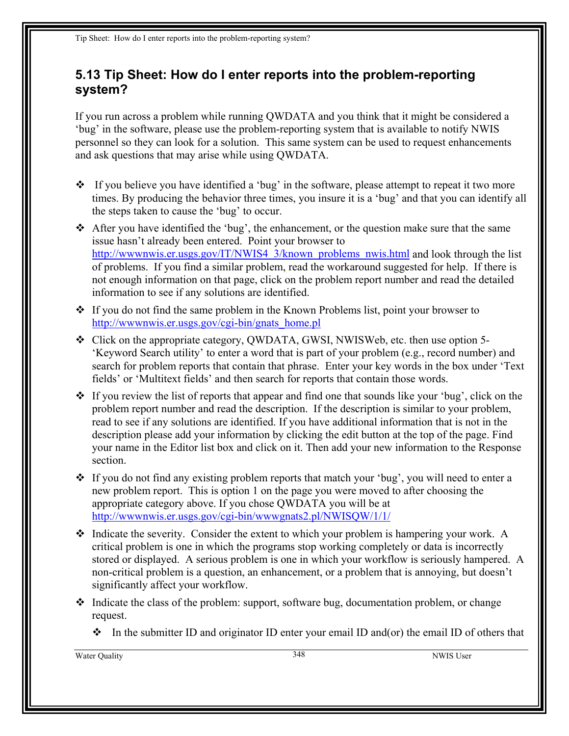## **5.13 Tip Sheet: How do I enter reports into the problem-reporting system?**

If you run across a problem while running QWDATA and you think that it might be considered a 'bug' in the software, please use the problem-reporting system that is available to notify NWIS personnel so they can look for a solution. This same system can be used to request enhancements and ask questions that may arise while using QWDATA.

- $\bullet$  If you believe you have identified a 'bug' in the software, please attempt to repeat it two more times. By producing the behavior three times, you insure it is a 'bug' and that you can identify all the steps taken to cause the 'bug' to occur.
- $\triangleleft$  After you have identified the 'bug', the enhancement, or the question make sure that the same issue hasn't already been entered. Point your browser to http://www.nwis.er.usgs.gov/IT/NWIS4\_3/known\_problems\_nwis.html and look through the list of problems. If you find a similar problem, read the workaround suggested for help. If there is not enough information on that page, click on the problem report number and read the detailed information to see if any solutions are identified.
- $\div$  If you do not find the same problem in the Known Problems list, point your browser to [http://wwwnwis.er.usgs.gov/cgi-bin/gnats\\_home.pl](http://wwwnwis.er.usgs.gov/cgi-bin/gnats_home.pl)
- Click on the appropriate category, QWDATA, GWSI, NWISWeb, etc. then use option 5- 'Keyword Search utility' to enter a word that is part of your problem (e.g., record number) and search for problem reports that contain that phrase. Enter your key words in the box under 'Text fields' or 'Multitext fields' and then search for reports that contain those words.
- $\div$  If you review the list of reports that appear and find one that sounds like your 'bug', click on the problem report number and read the description. If the description is similar to your problem, read to see if any solutions are identified. If you have additional information that is not in the description please add your information by clicking the edit button at the top of the page. Find your name in the Editor list box and click on it. Then add your new information to the Response section.
- \* If you do not find any existing problem reports that match your 'bug', you will need to enter a new problem report. This is option 1 on the page you were moved to after choosing the appropriate category above. If you chose QWDATA you will be at [http://wwwnwis.er.usgs.gov/cgi-bin/wwwgnats2.pl/NWISQW/1/1/](http://wwwnwis.er.usgs.gov/cgi-bin/wwwgnats2.pl/NWISQWQW/1/1/)
- $\triangleleft$  Indicate the severity. Consider the extent to which your problem is hampering your work. A critical problem is one in which the programs stop working completely or data is incorrectly stored or displayed. A serious problem is one in which your workflow is seriously hampered. A non-critical problem is a question, an enhancement, or a problem that is annoying, but doesn't significantly affect your workflow.
- $\cdot$  Indicate the class of the problem: support, software bug, documentation problem, or change request.
	- In the submitter ID and originator ID enter your email ID and(or) the email ID of others that

Water Quality 348 NWIS User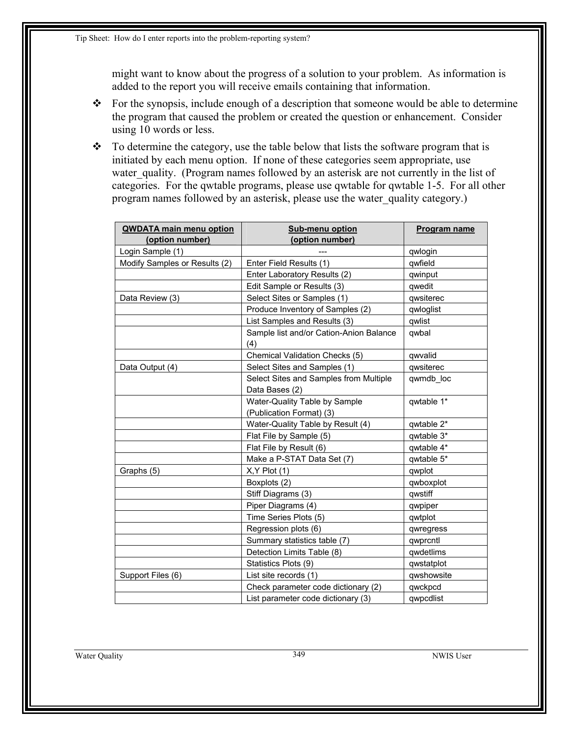might want to know about the progress of a solution to your problem. As information is added to the report you will receive emails containing that information.

- \* For the synopsis, include enough of a description that someone would be able to determine the program that caused the problem or created the question or enhancement. Consider using 10 words or less.
- $\cdot \cdot$  To determine the category, use the table below that lists the software program that is initiated by each menu option. If none of these categories seem appropriate, use water quality. (Program names followed by an asterisk are not currently in the list of categories. For the qwtable programs, please use qwtable for qwtable 1-5. For all other program names followed by an asterisk, please use the water\_quality category.)

| <b>QWDATA main menu option</b><br>(option number) | Sub-menu option<br>(option number)             | Program name |
|---------------------------------------------------|------------------------------------------------|--------------|
| Login Sample (1)                                  |                                                | qwlogin      |
| Modify Samples or Results (2)                     | Enter Field Results (1)                        | qwfield      |
|                                                   | Enter Laboratory Results (2)                   | qwinput      |
|                                                   | Edit Sample or Results (3)                     | qwedit       |
| Data Review (3)                                   | Select Sites or Samples (1)                    | qwsiterec    |
|                                                   | Produce Inventory of Samples (2)               | qwloglist    |
|                                                   | List Samples and Results (3)                   | qwlist       |
|                                                   | Sample list and/or Cation-Anion Balance<br>(4) | qwbal        |
|                                                   | Chemical Validation Checks (5)                 | qwvalid      |
| Data Output (4)                                   | Select Sites and Samples (1)                   | qwsiterec    |
|                                                   | Select Sites and Samples from Multiple         | qwmdb loc    |
|                                                   | Data Bases (2)                                 |              |
|                                                   | Water-Quality Table by Sample                  | qwtable 1*   |
|                                                   | (Publication Format) (3)                       |              |
|                                                   | Water-Quality Table by Result (4)              | qwtable 2*   |
|                                                   | Flat File by Sample (5)                        | qwtable 3*   |
|                                                   | Flat File by Result (6)                        | qwtable 4*   |
|                                                   | Make a P-STAT Data Set (7)                     | qwtable 5*   |
| Graphs (5)                                        | $X, Y$ Plot $(1)$                              | qwplot       |
|                                                   | Boxplots (2)                                   | qwboxplot    |
|                                                   | Stiff Diagrams (3)                             | qwstiff      |
|                                                   | Piper Diagrams (4)                             | qwpiper      |
|                                                   | Time Series Plots (5)                          | qwtplot      |
|                                                   | Regression plots (6)                           | qwregress    |
|                                                   | Summary statistics table (7)                   | qwprcntl     |
|                                                   | Detection Limits Table (8)                     | qwdetlims    |
|                                                   | Statistics Plots (9)                           | qwstatplot   |
| Support Files (6)                                 | List site records (1)                          | qwshowsite   |
|                                                   | Check parameter code dictionary (2)            | qwckpcd      |
|                                                   | List parameter code dictionary (3)             | qwpcdlist    |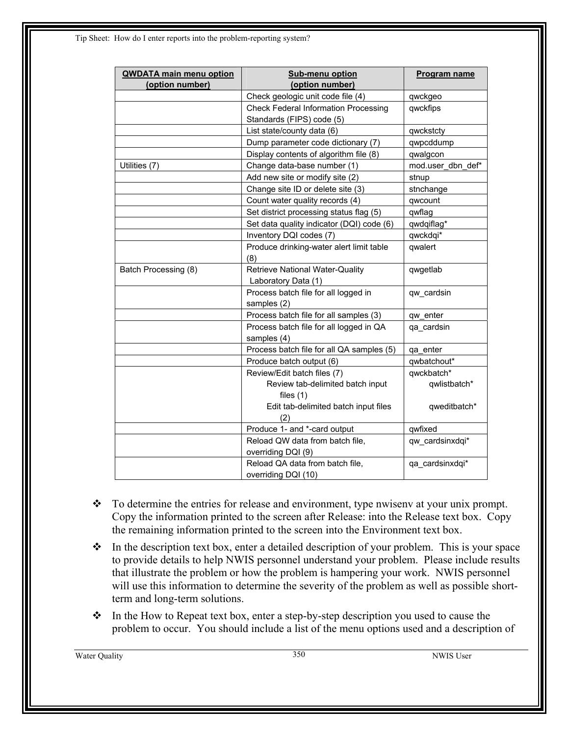| <b>QWDATA main menu option</b><br>(option number) | Sub-menu option<br>(option number)                                       | Program name      |
|---------------------------------------------------|--------------------------------------------------------------------------|-------------------|
|                                                   | Check geologic unit code file (4)                                        | qwckgeo           |
|                                                   | <b>Check Federal Information Processing</b><br>Standards (FIPS) code (5) | qwckfips          |
|                                                   | List state/county data (6)                                               | qwckstcty         |
|                                                   | Dump parameter code dictionary (7)                                       | qwpcddump         |
|                                                   | Display contents of algorithm file (8)                                   | qwalgcon          |
| Utilities (7)                                     | Change data-base number (1)                                              | mod.user dbn def* |
|                                                   | Add new site or modify site (2)                                          | stnup             |
|                                                   | Change site ID or delete site (3)                                        | stnchange         |
|                                                   | Count water quality records (4)                                          | qwcount           |
|                                                   | Set district processing status flag (5)                                  | qwflag            |
|                                                   | Set data quality indicator (DQI) code (6)                                | qwdqiflag*        |
|                                                   | Inventory DQI codes (7)                                                  | qwckdqi*          |
|                                                   | Produce drinking-water alert limit table<br>(8)                          | qwalert           |
| Batch Processing (8)                              | <b>Retrieve National Water-Quality</b><br>Laboratory Data (1)            | qwgetlab          |
|                                                   | Process batch file for all logged in<br>samples (2)                      | qw cardsin        |
|                                                   | Process batch file for all samples (3)                                   | qw enter          |
|                                                   | Process batch file for all logged in QA<br>samples (4)                   | qa cardsin        |
|                                                   | Process batch file for all QA samples (5)                                | qa enter          |
|                                                   | Produce batch output (6)                                                 | qwbatchout*       |
|                                                   | Review/Edit batch files (7)                                              | qwckbatch*        |
|                                                   | Review tab-delimited batch input<br>files $(1)$                          | qwlistbatch*      |
|                                                   | Edit tab-delimited batch input files<br>(2)                              | qweditbatch*      |
|                                                   | Produce 1- and *-card output                                             | qwfixed           |
|                                                   | Reload QW data from batch file,<br>overriding DQI (9)                    | qw cardsinxdqi*   |
|                                                   | Reload QA data from batch file,<br>overriding DQI (10)                   | qa cardsinxdqi*   |

- \* To determine the entries for release and environment, type nwisenv at your unix prompt. Copy the information printed to the screen after Release: into the Release text box. Copy the remaining information printed to the screen into the Environment text box.
- $\cdot \cdot$  In the description text box, enter a detailed description of your problem. This is your space to provide details to help NWIS personnel understand your problem. Please include results that illustrate the problem or how the problem is hampering your work. NWIS personnel will use this information to determine the severity of the problem as well as possible shortterm and long-term solutions.
- $\cdot \cdot$  In the How to Repeat text box, enter a step-by-step description you used to cause the problem to occur. You should include a list of the menu options used and a description of

Water Quality 350 NWIS User